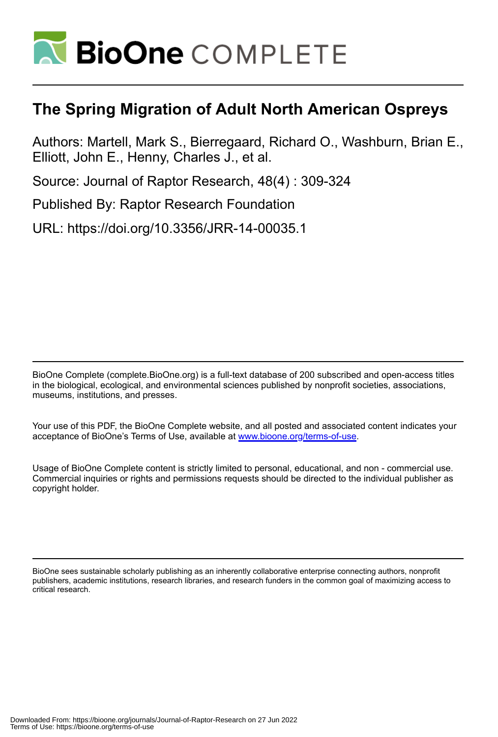

# **The Spring Migration of Adult North American Ospreys**

Authors: Martell, Mark S., Bierregaard, Richard O., Washburn, Brian E., Elliott, John E., Henny, Charles J., et al.

Source: Journal of Raptor Research, 48(4) : 309-324

Published By: Raptor Research Foundation

URL: https://doi.org/10.3356/JRR-14-00035.1

BioOne Complete (complete.BioOne.org) is a full-text database of 200 subscribed and open-access titles in the biological, ecological, and environmental sciences published by nonprofit societies, associations, museums, institutions, and presses.

Your use of this PDF, the BioOne Complete website, and all posted and associated content indicates your acceptance of BioOne's Terms of Use, available at www.bioone.org/terms-of-use.

Usage of BioOne Complete content is strictly limited to personal, educational, and non - commercial use. Commercial inquiries or rights and permissions requests should be directed to the individual publisher as copyright holder.

BioOne sees sustainable scholarly publishing as an inherently collaborative enterprise connecting authors, nonprofit publishers, academic institutions, research libraries, and research funders in the common goal of maximizing access to critical research.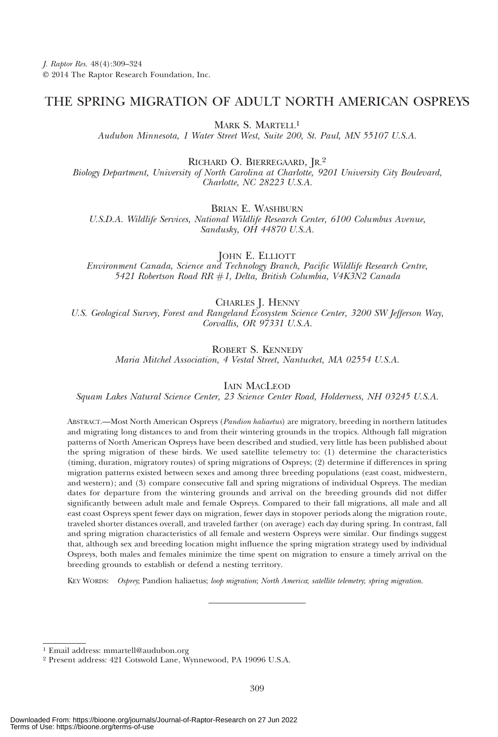# THE SPRING MIGRATION OF ADULT NORTH AMERICAN OSPREYS

MARK S. MARTELL<sup>1</sup>

Audubon Minnesota, 1 Water Street West, Suite 200, St. Paul, MN 55107 U.S.A.

RICHARD O. BIERREGAARD, JR.<sup>2</sup>

Biology Department, University of North Carolina at Charlotte, 9201 University City Boulevard, Charlotte, NC 28223 U.S.A.

BRIAN E. WASHBURN

U.S.D.A. Wildlife Services, National Wildlife Research Center, 6100 Columbus Avenue, Sandusky,  $OH$  44870 U.S.A.

JOHN E. ELLIOTT

Environment Canada, Science and Technology Branch, Pacific Wildlife Research Centre, 5421 Robertson Road RR #1, Delta, British Columbia, V4K3N2 Canada

CHARLES J. HENNY

U.S. Geological Survey, Forest and Rangeland Ecosystem Science Center, 3200 SW Jefferson Way, Corvallis, OR 97331 U.S.A.

ROBERT S. KENNEDY

Maria Mitchel Association, 4 Vestal Street, Nantucket, MA 02554 U.S.A.

IAIN MACLEOD

Squam Lakes Natural Science Center, 23 Science Center Road, Holderness, NH 03245 U.S.A.

ABSTRACT.—Most North American Ospreys (Pandion haliaetus) are migratory, breeding in northern latitudes and migrating long distances to and from their wintering grounds in the tropics. Although fall migration patterns of North American Ospreys have been described and studied, very little has been published about the spring migration of these birds. We used satellite telemetry to: (1) determine the characteristics (timing, duration, migratory routes) of spring migrations of Ospreys; (2) determine if differences in spring migration patterns existed between sexes and among three breeding populations (east coast, midwestern, and western); and (3) compare consecutive fall and spring migrations of individual Ospreys. The median dates for departure from the wintering grounds and arrival on the breeding grounds did not differ significantly between adult male and female Ospreys. Compared to their fall migrations, all male and all east coast Ospreys spent fewer days on migration, fewer days in stopover periods along the migration route, traveled shorter distances overall, and traveled farther (on average) each day during spring. In contrast, fall and spring migration characteristics of all female and western Ospreys were similar. Our findings suggest that, although sex and breeding location might influence the spring migration strategy used by individual Ospreys, both males and females minimize the time spent on migration to ensure a timely arrival on the breeding grounds to establish or defend a nesting territory.

KEY WORDS: Osprey; Pandion haliaetus; loop migration; North America; satellite telemetry; spring migration.

<sup>1</sup> Email address: mmartell@audubon.org

<sup>2</sup> Present address: 421 Cotswold Lane, Wynnewood, PA 19096 U.S.A.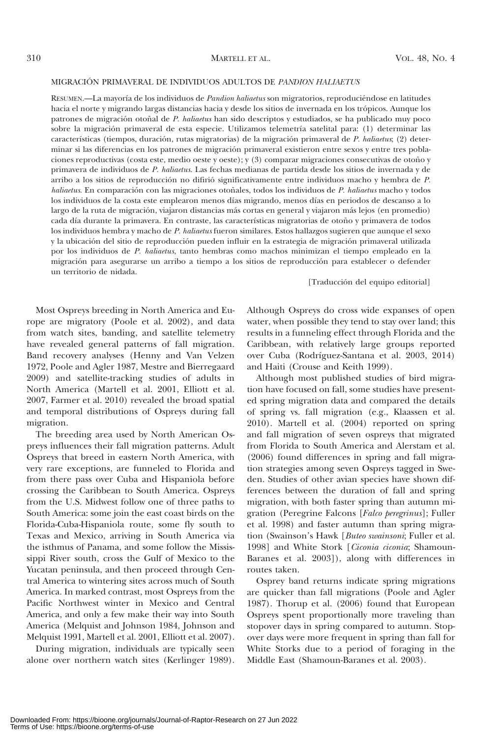## MIGRACIÓN PRIMAVERAL DE INDIVIDUOS ADULTOS DE PANDION HALIAETUS

RESUMEN.—La mayoría de los individuos de Pandion haliaetus son migratorios, reproduciéndose en latitudes hacia el norte y migrando largas distancias hacia y desde los sitios de invernada en los trópicos. Aunque los patrones de migración otoñal de P. haliaetus han sido descriptos y estudiados, se ha publicado muy poco sobre la migración primaveral de esta especie. Utilizamos telemetría satelital para: (1) determinar las características (tiempos, duración, rutas migratorias) de la migración primaveral de P. haliaetus; (2) determinar si las diferencias en los patrones de migración primaveral existieron entre sexos y entre tres poblaciones reproductivas (costa este, medio oeste y oeste); y  $(3)$  comparar migraciones consecutivas de otoño y primavera de individuos de P. haliaetus. Las fechas medianas de partida desde los sitios de invernada y de arribo a los sitios de reproducción no difirió significativamente entre individuos macho y hembra de P. haliaetus. En comparación con las migraciones otoñales, todos los individuos de P. haliaetus macho y todos los individuos de la costa este emplearon menos días migrando, menos días en periodos de descanso a lo largo de la ruta de migración, viajaron distancias más cortas en general y viajaron más lejos (en promedio) cada día durante la primavera. En contraste, las características migratorias de otoño y primavera de todos los individuos hembra y macho de P. haliaetus fueron similares. Estos hallazgos sugieren que aunque el sexo y la ubicación del sitio de reproducción pueden influir en la estrategia de migración primaveral utilizada por los individuos de P. haliaetus, tanto hembras como machos minimizan el tiempo empleado en la migración para asegurarse un arribo a tiempo a los sitios de reproducción para establecer o defender un territorio de nidada.

[Traducción del equipo editorial]

Most Ospreys breeding in North America and Europe are migratory (Poole et al. 2002), and data from watch sites, banding, and satellite telemetry have revealed general patterns of fall migration. Band recovery analyses (Henny and Van Velzen 1972, Poole and Agler 1987, Mestre and Bierregaard 2009) and satellite-tracking studies of adults in North America (Martell et al. 2001, Elliott et al. 2007, Farmer et al. 2010) revealed the broad spatial and temporal distributions of Ospreys during fall migration.

The breeding area used by North American Ospreys influences their fall migration patterns. Adult Ospreys that breed in eastern North America, with very rare exceptions, are funneled to Florida and from there pass over Cuba and Hispaniola before crossing the Caribbean to South America. Ospreys from the U.S. Midwest follow one of three paths to South America: some join the east coast birds on the Florida-Cuba-Hispaniola route, some fly south to Texas and Mexico, arriving in South America via the isthmus of Panama, and some follow the Mississippi River south, cross the Gulf of Mexico to the Yucatan peninsula, and then proceed through Central America to wintering sites across much of South America. In marked contrast, most Ospreys from the Pacific Northwest winter in Mexico and Central America, and only a few make their way into South America (Melquist and Johnson 1984, Johnson and Melquist 1991, Martell et al. 2001, Elliott et al. 2007).

During migration, individuals are typically seen alone over northern watch sites (Kerlinger 1989). Although Ospreys do cross wide expanses of open water, when possible they tend to stay over land; this results in a funneling effect through Florida and the Caribbean, with relatively large groups reported over Cuba (Rodrı´guez-Santana et al. 2003, 2014) and Haiti (Crouse and Keith 1999).

Although most published studies of bird migration have focused on fall, some studies have presented spring migration data and compared the details of spring vs. fall migration (e.g., Klaassen et al. 2010). Martell et al. (2004) reported on spring and fall migration of seven ospreys that migrated from Florida to South America and Alerstam et al. (2006) found differences in spring and fall migration strategies among seven Ospreys tagged in Sweden. Studies of other avian species have shown differences between the duration of fall and spring migration, with both faster spring than autumn migration (Peregrine Falcons [Falco peregrinus]; Fuller et al. 1998) and faster autumn than spring migration (Swainson's Hawk [Buteo swainsoni; Fuller et al. 1998] and White Stork [Ciconia ciconia; Shamoun-Baranes et al. 2003]), along with differences in routes taken.

Osprey band returns indicate spring migrations are quicker than fall migrations (Poole and Agler 1987). Thorup et al. (2006) found that European Ospreys spent proportionally more traveling than stopover days in spring compared to autumn. Stopover days were more frequent in spring than fall for White Storks due to a period of foraging in the Middle East (Shamoun-Baranes et al. 2003).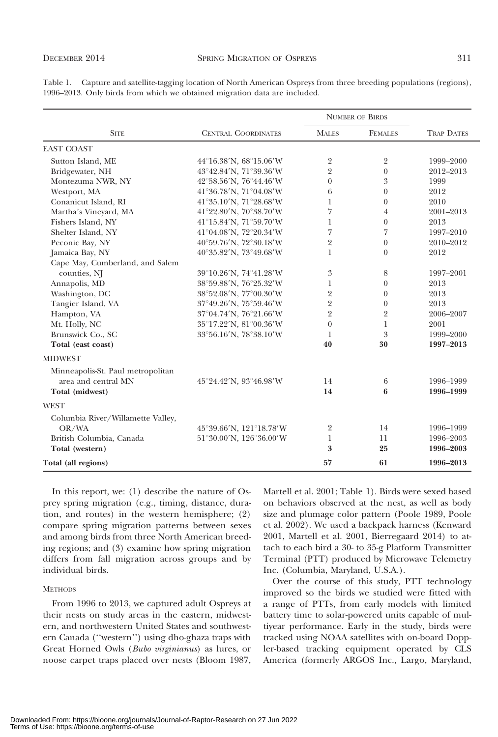|                                   |                                             | <b>NUMBER OF BIRDS</b> |                |                   |  |
|-----------------------------------|---------------------------------------------|------------------------|----------------|-------------------|--|
| <b>SITE</b>                       | <b>CENTRAL COORDINATES</b>                  | <b>MALES</b>           | <b>FEMALES</b> | <b>TRAP DATES</b> |  |
| <b>EAST COAST</b>                 |                                             |                        |                |                   |  |
| Sutton Island, ME                 | $44^{\circ}16.38'$ N, $68^{\circ}15.06'$ W  | 2                      | 2              | 1999-2000         |  |
| Bridgewater, NH                   | 43°42.84'N, 71°39.36'W                      | 2                      | $\theta$       | 2012-2013         |  |
| Montezuma NWR, NY                 | $42^{\circ}58.56'$ N, 76 $^{\circ}44.46'$ W | $\theta$               | 3              | 1999              |  |
| Westport, MA                      | 41°36.78'N, 71°04.08'W                      | 6                      | $\theta$       | 2012              |  |
| Conanicut Island, RI              | 41°35.10'N, 71°28.68'W                      | 1                      | $\overline{0}$ | 2010              |  |
| Martha's Vineyard, MA             | 41°22.80'N, 70°38.70'W                      | 7                      | $\overline{4}$ | 2001-2013         |  |
| Fishers Island, NY                | 41°15.84'N, 71°59.70'W                      | 1                      | $\theta$       | 2013              |  |
| Shelter Island, NY                | $41^{\circ}04.08'$ N, 72 $^{\circ}20.34'$ W | 7                      | 7              | 1997-2010         |  |
| Peconic Bay, NY                   | 40°59.76'N, 72°30.18'W                      | $\overline{2}$         | $\overline{0}$ | 2010-2012         |  |
| Jamaica Bay, NY                   | 40°35.82'N, 73°49.68'W                      | 1                      | $\overline{0}$ | 2012              |  |
| Cape May, Cumberland, and Salem   |                                             |                        |                |                   |  |
| counties, NJ                      | 39°10.26'N, 74°41.28'W                      | 3                      | 8              | 1997-2001         |  |
| Annapolis, MD                     | 38°59.88'N, 76°25.32'W                      | 1                      | $\theta$       | 2013              |  |
| Washington, DC                    | 38°52.08'N, 77°00.30'W                      | $\overline{2}$         | $\overline{0}$ | 2013              |  |
| Tangier Island, VA                | $37^{\circ}49.26'$ N, $75^{\circ}59.46'$ W  | $\overline{2}$         | $\theta$       | 2013              |  |
| Hampton, VA                       | 37°04.74'N, 76°21.66'W                      | $\overline{2}$         | $\overline{2}$ | 2006-2007         |  |
| Mt. Holly, NC                     | 35°17.22'N, 81°00.36'W                      | $\overline{0}$         | 1              | 2001              |  |
| Brunswick Co., SC                 | 33°56.16'N, 78°38.10'W                      | 1                      | 3              | 1999-2000         |  |
| Total (east coast)                |                                             | 40                     | 30             | 1997-2013         |  |
| <b>MIDWEST</b>                    |                                             |                        |                |                   |  |
| Minneapolis-St. Paul metropolitan |                                             |                        |                |                   |  |
| area and central MN               | $45^{\circ}24.42'$ N, $93^{\circ}46.98'$ W  | 14                     | 6              | 1996-1999         |  |
| Total (midwest)                   |                                             | 14                     | 6              | 1996-1999         |  |
| <b>WEST</b>                       |                                             |                        |                |                   |  |
| Columbia River/Willamette Valley, |                                             |                        |                |                   |  |
| OR/WA                             | 45°39.66'N, 121°18.78'W                     | 2                      | 14             | 1996-1999         |  |
| British Columbia, Canada          | 51°30.00'N, 126°36.00'W                     | 1                      | 11             | 1996-2003         |  |
| Total (western)                   |                                             | 3                      | 25             | 1996-2003         |  |
| Total (all regions)               |                                             | 57                     | 61             | 1996-2013         |  |

Table 1. Capture and satellite-tagging location of North American Ospreys from three breeding populations (regions), 1996–2013. Only birds from which we obtained migration data are included.

In this report, we: (1) describe the nature of Osprey spring migration (e.g., timing, distance, duration, and routes) in the western hemisphere; (2) compare spring migration patterns between sexes and among birds from three North American breeding regions; and (3) examine how spring migration differs from fall migration across groups and by individual birds.

### **METHODS**

From 1996 to 2013, we captured adult Ospreys at their nests on study areas in the eastern, midwestern, and northwestern United States and southwestern Canada (''western'') using dho-ghaza traps with Great Horned Owls (Bubo virginianus) as lures, or noose carpet traps placed over nests (Bloom 1987,

Martell et al. 2001; Table 1). Birds were sexed based on behaviors observed at the nest, as well as body size and plumage color pattern (Poole 1989, Poole et al. 2002). We used a backpack harness (Kenward 2001, Martell et al. 2001, Bierregaard 2014) to attach to each bird a 30- to 35-g Platform Transmitter Terminal (PTT) produced by Microwave Telemetry Inc. (Columbia, Maryland, U.S.A.).

Over the course of this study, PTT technology improved so the birds we studied were fitted with a range of PTTs, from early models with limited battery time to solar-powered units capable of multiyear performance. Early in the study, birds were tracked using NOAA satellites with on-board Doppler-based tracking equipment operated by CLS America (formerly ARGOS Inc., Largo, Maryland,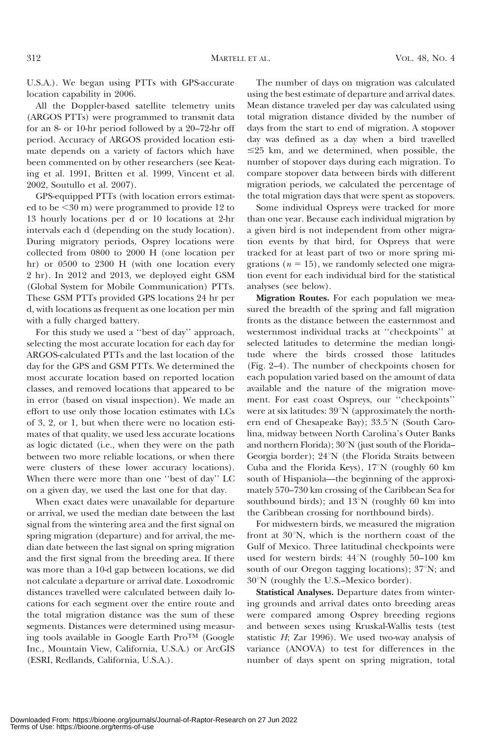U.S.A.). We began using PTTs with GPS-accurate location capability in 2006.

All the Doppler-based satellite telemetry units (ARGOS PTTs) were programmed to transmit data for an 8- or 10-hr period followed by a 20–72-hr off period. Accuracy of ARGOS provided location estimate depends on a variety of factors which have been commented on by other researchers (see Keating et al. 1991, Britten et al. 1999, Vincent et al. 2002, Soutullo et al. 2007).

GPS-equipped PTTs (with location errors estimated to be  $\leq 30$  m) were programmed to provide 12 to 13 hourly locations per d or 10 locations at 2-hr intervals each d (depending on the study location). During migratory periods, Osprey locations were collected from 0800 to 2000 H (one location per hr) or 0500 to 2300 H (with one location every 2 hr). In 2012 and 2013, we deployed eight GSM (Global System for Mobile Communication) PTTs. These GSM PTTs provided GPS locations 24 hr per d, with locations as frequent as one location per min with a fully charged battery.

For this study we used a ''best of day'' approach, selecting the most accurate location for each day for ARGOS-calculated PTTs and the last location of the day for the GPS and GSM PTTs. We determined the most accurate location based on reported location classes, and removed locations that appeared to be in error (based on visual inspection). We made an effort to use only those location estimates with LCs of 3, 2, or 1, but when there were no location estimates of that quality, we used less accurate locations as logic dictated (i.e., when they were on the path between two more reliable locations, or when there were clusters of these lower accuracy locations). When there were more than one ''best of day'' LC on a given day, we used the last one for that day.

When exact dates were unavailable for departure or arrival, we used the median date between the last signal from the wintering area and the first signal on spring migration (departure) and for arrival, the median date between the last signal on spring migration and the first signal from the breeding area. If there was more than a 10-d gap between locations, we did not calculate a departure or arrival date. Loxodromic distances travelled were calculated between daily locations for each segment over the entire route and the total migration distance was the sum of these segments. Distances were determined using measuring tools available in Google Earth ProTM (Google Inc., Mountain View, California, U.S.A.) or ArcGIS (ESRI, Redlands, California, U.S.A.).

The number of days on migration was calculated using the best estimate of departure and arrival dates. Mean distance traveled per day was calculated using total migration distance divided by the number of days from the start to end of migration. A stopover day was defined as a day when a bird travelled  $\leq$ 25 km, and we determined, when possible, the number of stopover days during each migration. To compare stopover data between birds with different migration periods, we calculated the percentage of the total migration days that were spent as stopovers.

Some individual Ospreys were tracked for more than one year. Because each individual migration by a given bird is not independent from other migration events by that bird, for Ospreys that were tracked for at least part of two or more spring migrations ( $n = 15$ ), we randomly selected one migration event for each individual bird for the statistical analyses (see below).

Migration Routes. For each population we measured the breadth of the spring and fall migration fronts as the distance between the easternmost and westernmost individual tracks at ''checkpoints'' at selected latitudes to determine the median longitude where the birds crossed those latitudes (Fig. 2–4). The number of checkpoints chosen for each population varied based on the amount of data available and the nature of the migration movement. For east coast Ospreys, our ''checkpoints'' were at six latitudes:  $39^{\circ}$ N (approximately the northern end of Chesapeake Bay);  $33.5^{\circ}N$  (South Carolina, midway between North Carolina's Outer Banks and northern Florida);  $30^{\circ}$ N (just south of the Florida– Georgia border);  $24^{\circ}N$  (the Florida Straits between Cuba and the Florida Keys),  $17°N$  (roughly 60 km south of Hispaniola—the beginning of the approximately 570–730 km crossing of the Caribbean Sea for southbound birds); and  $13^{\circ}N$  (roughly 60 km into the Caribbean crossing for northbound birds).

For midwestern birds, we measured the migration front at  $30^{\circ}$ N, which is the northern coast of the Gulf of Mexico. Three latitudinal checkpoints were used for western birds:  $44^{\circ}N$  (roughly  $50-100$  km south of our Oregon tagging locations);  $37^{\circ}$ N; and  $30^{\circ}$ N (roughly the U.S.–Mexico border).

Statistical Analyses. Departure dates from wintering grounds and arrival dates onto breeding areas were compared among Osprey breeding regions and between sexes using Kruskal-Wallis tests (test statistic  $H$ ; Zar 1996). We used two-way analysis of variance (ANOVA) to test for differences in the number of days spent on spring migration, total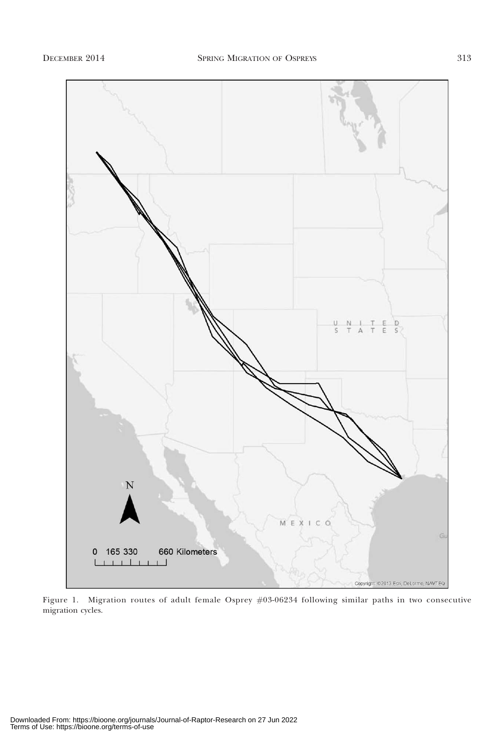

Figure 1. Migration routes of adult female Osprey #03-06234 following similar paths in two consecutive migration cycles.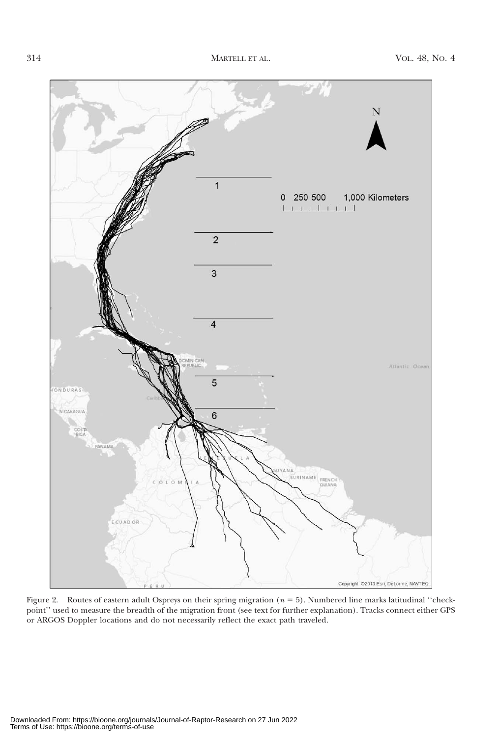

Figure 2. Routes of eastern adult Ospreys on their spring migration ( $n = 5$ ). Numbered line marks latitudinal "checkpoint'' used to measure the breadth of the migration front (see text for further explanation). Tracks connect either GPS or ARGOS Doppler locations and do not necessarily reflect the exact path traveled.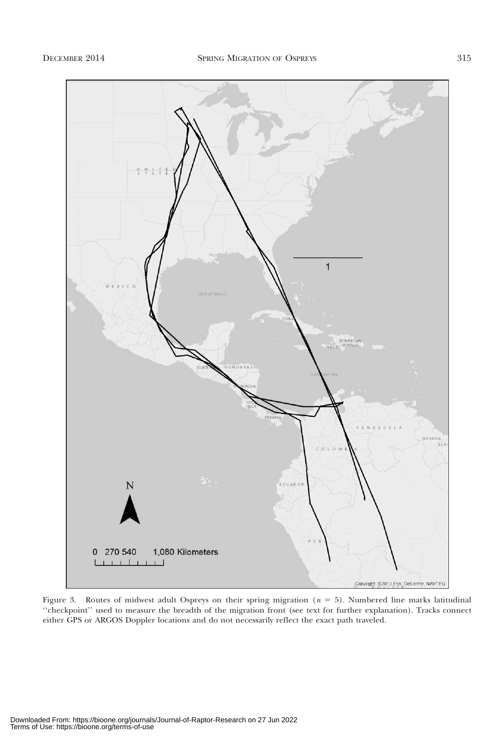

Figure 3. Routes of midwest adult Ospreys on their spring migration ( $n = 5$ ). Numbered line marks latitudinal ''checkpoint'' used to measure the breadth of the migration front (see text for further explanation). Tracks connect either GPS or ARGOS Doppler locations and do not necessarily reflect the exact path traveled.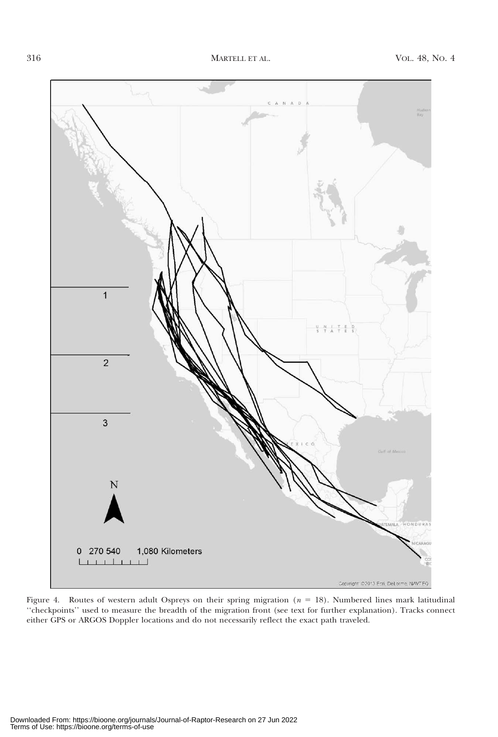

Figure 4. Routes of western adult Ospreys on their spring migration ( $n = 18$ ). Numbered lines mark latitudinal ''checkpoints'' used to measure the breadth of the migration front (see text for further explanation). Tracks connect either GPS or ARGOS Doppler locations and do not necessarily reflect the exact path traveled.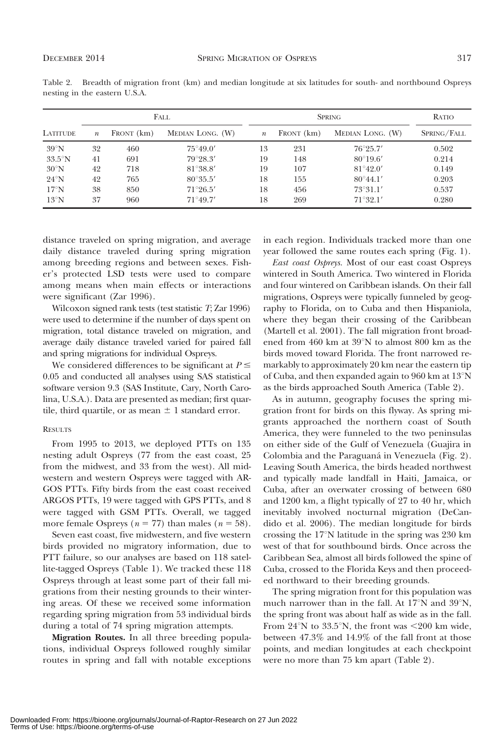FALL RATIO LATITUDE  $n$  FRONT (km) MEDIAN LONG. (W)  $n$  FRONT (km) MEDIAN LONG. (W) SPRING/FALL  $39^{\circ}\text{N}$   $32$   $460$   $75^{\circ}49.0'$   $13$   $231$   $76^{\circ}25.7'$   $0.502$  $33.5^{\circ}\text{N}$  41 691 79<sup>°</sup>28.3' 19 148 80<sup>°</sup>19.6' 0.214  $30^{\circ}$ N 42 718  $81^{\circ}38.8'$  19 107  $81^{\circ}42.0'$  0.149  $24^{\circ}$ N 42 765 80°35.5' 18 155 80°44.1' 0.203  $17^{\circ}$ N 38 850  $71^{\circ}26.5'$  18 456  $73^{\circ}31.1'$  0.537  $13^{\circ}$ N 37 960  $71^{\circ}49.7'$  18 269  $71^{\circ}32.1'$  0.280

Table 2. Breadth of migration front (km) and median longitude at six latitudes for south- and northbound Ospreys nesting in the eastern U.S.A.

distance traveled on spring migration, and average daily distance traveled during spring migration among breeding regions and between sexes. Fisher's protected LSD tests were used to compare among means when main effects or interactions were significant (Zar 1996).

Wilcoxon signed rank tests (test statistic T; Zar 1996) were used to determine if the number of days spent on migration, total distance traveled on migration, and average daily distance traveled varied for paired fall and spring migrations for individual Ospreys.

We considered differences to be significant at  $P \leq$ 0.05 and conducted all analyses using SAS statistical software version 9.3 (SAS Institute, Cary, North Carolina, U.S.A.). Data are presented as median; first quartile, third quartile, or as mean  $\pm$  1 standard error.

### **RESULTS**

From 1995 to 2013, we deployed PTTs on 135 nesting adult Ospreys (77 from the east coast, 25 from the midwest, and 33 from the west). All midwestern and western Ospreys were tagged with AR-GOS PTTs. Fifty birds from the east coast received ARGOS PTTs, 19 were tagged with GPS PTTs, and 8 were tagged with GSM PTTs. Overall, we tagged more female Ospreys ( $n = 77$ ) than males ( $n = 58$ ).

Seven east coast, five midwestern, and five western birds provided no migratory information, due to PTT failure, so our analyses are based on 118 satellite-tagged Ospreys (Table 1). We tracked these 118 Ospreys through at least some part of their fall migrations from their nesting grounds to their wintering areas. Of these we received some information regarding spring migration from 53 individual birds during a total of 74 spring migration attempts.

Migration Routes. In all three breeding populations, individual Ospreys followed roughly similar routes in spring and fall with notable exceptions in each region. Individuals tracked more than one year followed the same routes each spring (Fig. 1).

East coast Ospreys. Most of our east coast Ospreys wintered in South America. Two wintered in Florida and four wintered on Caribbean islands. On their fall migrations, Ospreys were typically funneled by geography to Florida, on to Cuba and then Hispaniola, where they began their crossing of the Caribbean (Martell et al. 2001). The fall migration front broadened from 460 km at  $39^{\circ}$ N to almost 800 km as the birds moved toward Florida. The front narrowed remarkably to approximately 20 km near the eastern tip of Cuba, and then expanded again to  $960 \text{ km at } 13^{\circ} \text{N}$ as the birds approached South America (Table 2).

As in autumn, geography focuses the spring migration front for birds on this flyway. As spring migrants approached the northern coast of South America, they were funneled to the two peninsulas on either side of the Gulf of Venezuela (Guajira in Colombia and the Paraguaná in Venezuela (Fig. 2). Leaving South America, the birds headed northwest and typically made landfall in Haiti, Jamaica, or Cuba, after an overwater crossing of between 680 and 1200 km, a flight typically of 27 to 40 hr, which inevitably involved nocturnal migration (DeCandido et al. 2006). The median longitude for birds crossing the  $17^{\circ}$ N latitude in the spring was 230 km west of that for southbound birds. Once across the Caribbean Sea, almost all birds followed the spine of Cuba, crossed to the Florida Keys and then proceeded northward to their breeding grounds.

The spring migration front for this population was much narrower than in the fall. At  $17^{\circ}N$  and  $39^{\circ}N$ , the spring front was about half as wide as in the fall. From  $24^{\circ}$ N to  $33.5^{\circ}$ N, the front was  $\leq 200$  km wide, between 47.3% and 14.9% of the fall front at those points, and median longitudes at each checkpoint were no more than 75 km apart (Table 2).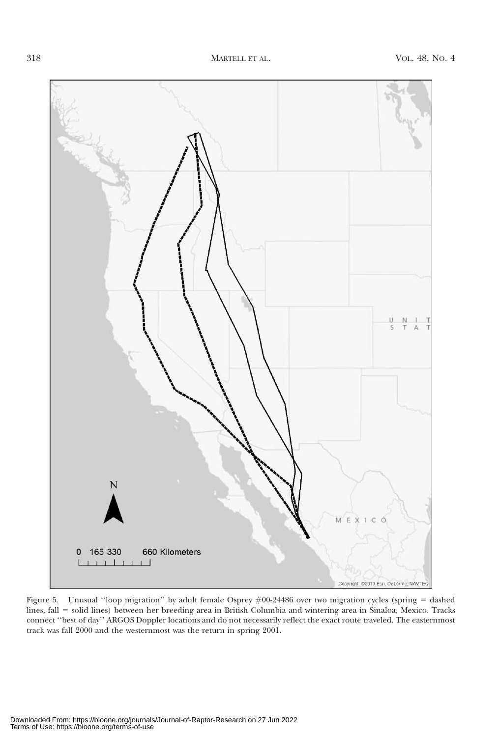

Figure 5. Unusual "loop migration" by adult female Osprey #00-24486 over two migration cycles (spring = dashed lines, fall = solid lines) between her breeding area in British Columbia and wintering area in Sinaloa, Mexico. Tracks connect ''best of day'' ARGOS Doppler locations and do not necessarily reflect the exact route traveled. The easternmost track was fall 2000 and the westernmost was the return in spring 2001.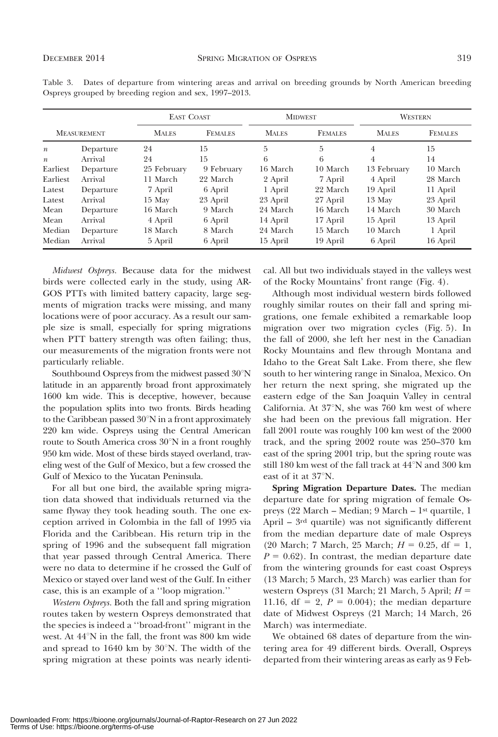|                  |                    | <b>EAST COAST</b> |                | <b>MIDWEST</b> |                | <b>WESTERN</b> |                |
|------------------|--------------------|-------------------|----------------|----------------|----------------|----------------|----------------|
|                  | <b>MEASUREMENT</b> | <b>MALES</b>      | <b>FEMALES</b> | <b>MALES</b>   | <b>FEMALES</b> | <b>MALES</b>   | <b>FEMALES</b> |
| $\boldsymbol{n}$ | Departure          | 24                | 15             | 5              | 5              | 4              | 15             |
| $\boldsymbol{n}$ | Arrival            | 24                | 15             | 6              | 6              | 4              | 14             |
| Earliest         | Departure          | 25 February       | 9 February     | 16 March       | 10 March       | 13 February    | 10 March       |
| Earliest         | Arrival            | 11 March          | 22 March       | 2 April        | 7 April        | 4 April        | 28 March       |
| Latest           | Departure          | 7 April           | 6 April        | 1 April        | 22 March       | 19 April       | 11 April       |
| Latest           | Arrival            | 15 May            | 23 April       | 23 April       | 27 April       | 13 May         | 23 April       |
| Mean             | Departure          | 16 March          | 9 March        | 24 March       | 16 March       | 14 March       | 30 March       |
| Mean             | Arrival            | 4 April           | 6 April        | 14 April       | 17 April       | 15 April       | 13 April       |
| Median           | Departure          | 18 March          | 8 March        | 24 March       | 15 March       | 10 March       | 1 April        |
| Median           | Arrival            | 5 April           | 6 April        | 15 April       | 19 April       | 6 April        | 16 April       |

Table 3. Dates of departure from wintering areas and arrival on breeding grounds by North American breeding Ospreys grouped by breeding region and sex, 1997–2013.

Midwest Ospreys. Because data for the midwest birds were collected early in the study, using AR-GOS PTTs with limited battery capacity, large segments of migration tracks were missing, and many locations were of poor accuracy. As a result our sample size is small, especially for spring migrations when PTT battery strength was often failing; thus, our measurements of the migration fronts were not particularly reliable.

Southbound Ospreys from the midwest passed  $30^{\circ}$ N latitude in an apparently broad front approximately 1600 km wide. This is deceptive, however, because the population splits into two fronts. Birds heading to the Caribbean passed  $30^{\circ}$ N in a front approximately 220 km wide. Ospreys using the Central American route to South America cross  $30^{\circ}$ N in a front roughly 950 km wide. Most of these birds stayed overland, traveling west of the Gulf of Mexico, but a few crossed the Gulf of Mexico to the Yucatan Peninsula.

For all but one bird, the available spring migration data showed that individuals returned via the same flyway they took heading south. The one exception arrived in Colombia in the fall of 1995 via Florida and the Caribbean. His return trip in the spring of 1996 and the subsequent fall migration that year passed through Central America. There were no data to determine if he crossed the Gulf of Mexico or stayed over land west of the Gulf. In either case, this is an example of a ''loop migration.''

Western Ospreys. Both the fall and spring migration routes taken by western Ospreys demonstrated that the species is indeed a ''broad-front'' migrant in the west. At 44°N in the fall, the front was 800 km wide and spread to  $1640 \text{ km}$  by  $30^{\circ}$ N. The width of the spring migration at these points was nearly identical. All but two individuals stayed in the valleys west of the Rocky Mountains' front range (Fig. 4).

Although most individual western birds followed roughly similar routes on their fall and spring migrations, one female exhibited a remarkable loop migration over two migration cycles (Fig. 5). In the fall of 2000, she left her nest in the Canadian Rocky Mountains and flew through Montana and Idaho to the Great Salt Lake. From there, she flew south to her wintering range in Sinaloa, Mexico. On her return the next spring, she migrated up the eastern edge of the San Joaquin Valley in central California. At  $37^{\circ}$ N, she was  $760$  km west of where she had been on the previous fall migration. Her fall 2001 route was roughly 100 km west of the 2000 track, and the spring 2002 route was 250–370 km east of the spring 2001 trip, but the spring route was still 180 km west of the fall track at  $44^{\circ}$ N and 300 km east of it at  $37^\circ$ N.

Spring Migration Departure Dates. The median departure date for spring migration of female Ospreys (22 March – Median; 9 March – 1st quartile, 1 April - 3<sup>rd</sup> quartile) was not significantly different from the median departure date of male Ospreys (20 March; 7 March, 25 March;  $H = 0.25$ , df = 1,  $P = 0.62$ ). In contrast, the median departure date from the wintering grounds for east coast Ospreys (13 March; 5 March, 23 March) was earlier than for western Ospreys (31 March; 21 March, 5 April;  $H =$ 11.16, df = 2,  $P = 0.004$ ; the median departure date of Midwest Ospreys (21 March; 14 March, 26 March) was intermediate.

We obtained 68 dates of departure from the wintering area for 49 different birds. Overall, Ospreys departed from their wintering areas as early as 9 Feb-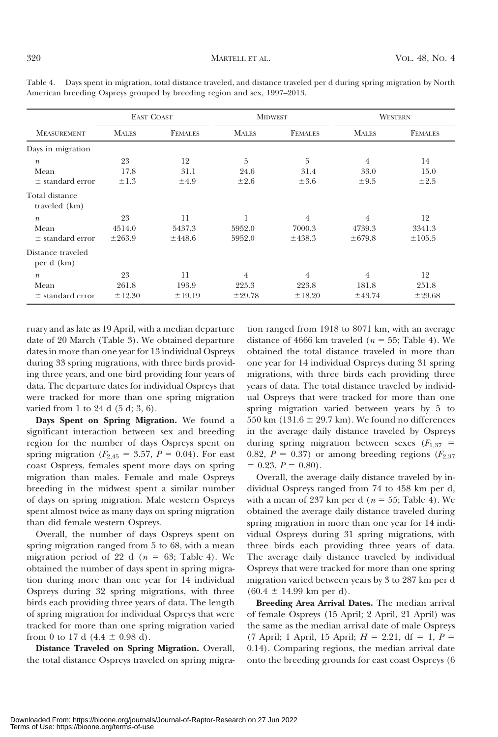|                                                  | <b>EAST COAST</b>       |                            | <b>MIDWEST</b>                    |                                    | <b>WESTERN</b>                          |                             |
|--------------------------------------------------|-------------------------|----------------------------|-----------------------------------|------------------------------------|-----------------------------------------|-----------------------------|
| <b>MEASUREMENT</b>                               | <b>MALES</b>            | <b>FEMALES</b>             | <b>MALES</b>                      | <b>FEMALES</b>                     | <b>MALES</b>                            | <b>FEMALES</b>              |
| Days in migration                                |                         |                            |                                   |                                    |                                         |                             |
| $\boldsymbol{n}$<br>Mean<br>$\pm$ standard error | 23<br>17.8<br>$\pm 1.3$ | 12<br>31.1<br>±4.9         | 5<br>24.6<br>$\pm 2.6$            | 5<br>31.4<br>$\pm 3.6$             | 4<br>33.0<br>$\pm 9.5$                  | 14<br>15.0<br>$\pm 2.5$     |
| Total distance<br>traveled (km)                  |                         |                            |                                   |                                    |                                         |                             |
| $\boldsymbol{n}$<br>Mean<br>$\pm$ standard error | 23<br>4514.0<br>±263.9  | 11<br>5437.3<br>±448.6     | 1<br>5952.0<br>5952.0             | $\overline{4}$<br>7000.3<br>±438.3 | $\overline{4}$<br>4739.3<br>$\pm 679.8$ | 12<br>3341.3<br>$\pm 105.5$ |
| Distance traveled<br>per d (km)                  |                         |                            |                                   |                                    |                                         |                             |
| $\boldsymbol{n}$<br>Mean<br>$\pm$ standard error | 23<br>261.8<br>±12.30   | 11<br>193.9<br>$\pm$ 19.19 | $\overline{4}$<br>225.3<br>±29.78 | 4<br>223.8<br>±18.20               | $\overline{4}$<br>181.8<br>±43.74       | 12<br>251.8<br>±29.68       |

Table 4. Days spent in migration, total distance traveled, and distance traveled per d during spring migration by North American breeding Ospreys grouped by breeding region and sex, 1997–2013.

ruary and as late as 19 April, with a median departure date of 20 March (Table 3). We obtained departure dates in more than one year for 13 individual Ospreys during 33 spring migrations, with three birds providing three years, and one bird providing four years of data. The departure dates for individual Ospreys that were tracked for more than one spring migration varied from 1 to 24 d (5 d; 3, 6).

Days Spent on Spring Migration. We found a significant interaction between sex and breeding region for the number of days Ospreys spent on spring migration ( $F_{2,45} = 3.57$ ,  $P = 0.04$ ). For east coast Ospreys, females spent more days on spring migration than males. Female and male Ospreys breeding in the midwest spent a similar number of days on spring migration. Male western Ospreys spent almost twice as many days on spring migration than did female western Ospreys.

Overall, the number of days Ospreys spent on spring migration ranged from 5 to 68, with a mean migration period of 22 d ( $n = 63$ ; Table 4). We obtained the number of days spent in spring migration during more than one year for 14 individual Ospreys during 32 spring migrations, with three birds each providing three years of data. The length of spring migration for individual Ospreys that were tracked for more than one spring migration varied from 0 to 17 d  $(4.4 \pm 0.98 \text{ d}).$ 

Distance Traveled on Spring Migration. Overall, the total distance Ospreys traveled on spring migra-

tion ranged from 1918 to 8071 km, with an average distance of 4666 km traveled ( $n = 55$ ; Table 4). We obtained the total distance traveled in more than one year for 14 individual Ospreys during 31 spring migrations, with three birds each providing three years of data. The total distance traveled by individual Ospreys that were tracked for more than one spring migration varied between years by 5 to 550 km (131.6  $\pm$  29.7 km). We found no differences in the average daily distance traveled by Ospreys during spring migration between sexes  $(F_{1,37}$  = 0.82,  $P = 0.37$ ) or among breeding regions ( $F_{2,37}$ )  $= 0.23, P = 0.80$ .

Overall, the average daily distance traveled by individual Ospreys ranged from 74 to 458 km per d, with a mean of 237 km per d ( $n = 55$ ; Table 4). We obtained the average daily distance traveled during spring migration in more than one year for 14 individual Ospreys during 31 spring migrations, with three birds each providing three years of data. The average daily distance traveled by individual Ospreys that were tracked for more than one spring migration varied between years by 3 to 287 km per d  $(60.4 \pm 14.99 \text{ km per d}).$ 

Breeding Area Arrival Dates. The median arrival of female Ospreys (15 April; 2 April, 21 April) was the same as the median arrival date of male Ospreys (7 April; 1 April, 15 April;  $H = 2.21$ , df = 1,  $P =$ 0.14). Comparing regions, the median arrival date onto the breeding grounds for east coast Ospreys (6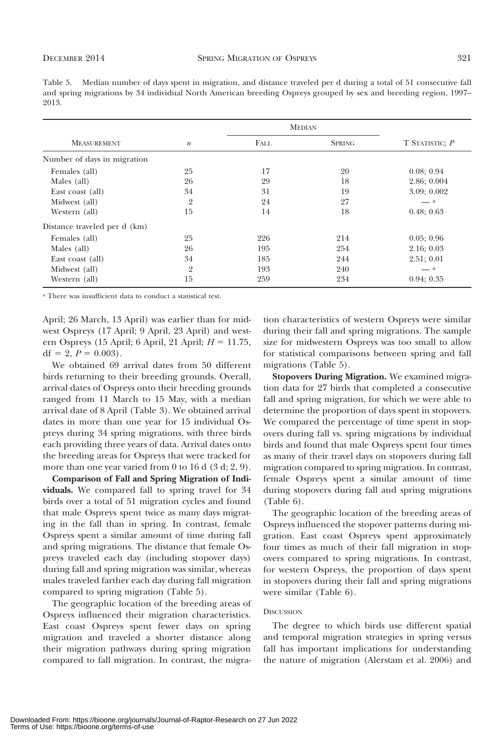Table 5. Median number of days spent in migration, and distance traveled per d during a total of 51 consecutive fall and spring migrations by 34 individual North American breeding Ospreys grouped by sex and breeding region, 1997– 2013.

|                              |                  | <b>MEDIAN</b> |               |                    |  |
|------------------------------|------------------|---------------|---------------|--------------------|--|
| <b>MEASUREMENT</b>           | $\boldsymbol{n}$ | <b>FALL</b>   | <b>SPRING</b> | $T$ STATISTIC; $P$ |  |
| Number of days in migration  |                  |               |               |                    |  |
| Females (all)                | 25               | 17            | 20            | 0.08; 0.94         |  |
| Males (all)                  | 26               | 29            | 18            | 2.86; 0.004        |  |
| East coast (all)             | 34               | 31            | 19            | 3.09; 0.002        |  |
| Midwest (all)                | $\overline{2}$   | 24            | 27            | — a                |  |
| Western (all)                | 15               | 14            | 18            | 0.48; 0.63         |  |
| Distance traveled per d (km) |                  |               |               |                    |  |
| Females (all)                | 25               | 226           | 214           | 0.05; 0.96         |  |
| Males (all)                  | 26               | 195           | 254           | 2.16:0.03          |  |
| East coast (all)             | 34               | 185           | 244           | 2.51; 0.01         |  |
| Midwest (all)                | $\overline{2}$   | 193           | 240           | — a                |  |
| Western (all)                | 15               | 259           | 234           | 0.94; 0.35         |  |

a There was insufficient data to conduct a statistical test.

April; 26 March, 13 April) was earlier than for midwest Ospreys (17 April; 9 April, 23 April) and western Ospreys (15 April; 6 April, 21 April;  $H = 11.75$ , df = 2,  $P = 0.003$ ).

We obtained 69 arrival dates from 50 different birds returning to their breeding grounds. Overall, arrival dates of Ospreys onto their breeding grounds ranged from 11 March to 15 May, with a median arrival date of 8 April (Table 3). We obtained arrival dates in more than one year for 15 individual Ospreys during 34 spring migrations, with three birds each providing three years of data. Arrival dates onto the breeding areas for Ospreys that were tracked for more than one year varied from 0 to 16 d (3 d; 2, 9).

Comparison of Fall and Spring Migration of Individuals. We compared fall to spring travel for 34 birds over a total of 51 migration cycles and found that male Ospreys spent twice as many days migrating in the fall than in spring. In contrast, female Ospreys spent a similar amount of time during fall and spring migrations. The distance that female Ospreys traveled each day (including stopover days) during fall and spring migration was similar, whereas males traveled farther each day during fall migration compared to spring migration (Table 5).

The geographic location of the breeding areas of Ospreys influenced their migration characteristics. East coast Ospreys spent fewer days on spring migration and traveled a shorter distance along their migration pathways during spring migration compared to fall migration. In contrast, the migra-

tion characteristics of western Ospreys were similar during their fall and spring migrations. The sample size for midwestern Ospreys was too small to allow for statistical comparisons between spring and fall migrations (Table 5).

Stopovers During Migration. We examined migration data for 27 birds that completed a consecutive fall and spring migration, for which we were able to determine the proportion of days spent in stopovers. We compared the percentage of time spent in stopovers during fall vs. spring migrations by individual birds and found that male Ospreys spent four times as many of their travel days on stopovers during fall migration compared to spring migration. In contrast, female Ospreys spent a similar amount of time during stopovers during fall and spring migrations (Table 6).

The geographic location of the breeding areas of Ospreys influenced the stopover patterns during migration. East coast Ospreys spent approximately four times as much of their fall migration in stopovers compared to spring migrations. In contrast, for western Ospreys, the proportion of days spent in stopovers during their fall and spring migrations were similar (Table 6).

### **DISCUSSION**

The degree to which birds use different spatial and temporal migration strategies in spring versus fall has important implications for understanding the nature of migration (Alerstam et al. 2006) and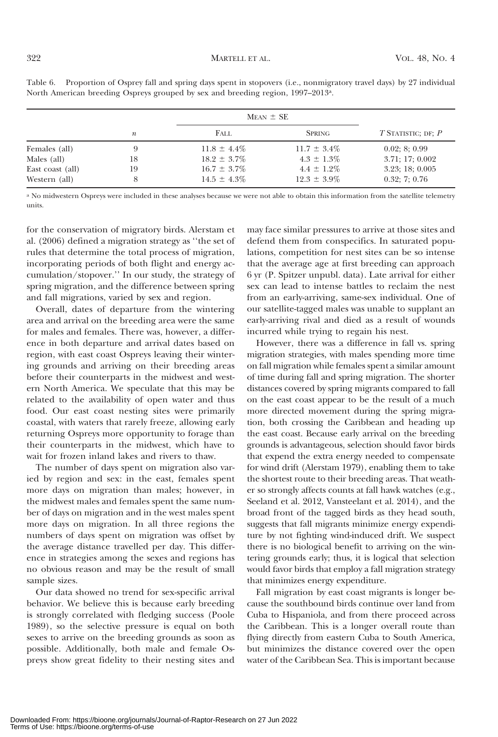|                  |                  | $MEAN \pm SE$    |                  |                      |
|------------------|------------------|------------------|------------------|----------------------|
|                  | $\boldsymbol{n}$ | FALL.            | <b>SPRING</b>    | T STATISTIC; DF; $P$ |
| Females (all)    | 9                | $11.8 \pm 4.4\%$ | $11.7 \pm 3.4\%$ | 0.02; 8; 0.99        |
| Males (all)      | 18               | $18.2 \pm 3.7\%$ | $4.3 \pm 1.3\%$  | 3.71; 17; 0.002      |
| East coast (all) | 19               | $16.7 \pm 3.7\%$ | $4.4 \pm 1.2\%$  | 3.23; 18; 0.005      |
| Western (all)    | 8                | $14.5 \pm 4.3\%$ | $12.3 \pm 3.9\%$ | 0.32; 7; 0.76        |

Table 6. Proportion of Osprey fall and spring days spent in stopovers (i.e., nonmigratory travel days) by 27 individual North American breeding Ospreys grouped by sex and breeding region, 1997–2013a.

<sup>a</sup> No midwestern Ospreys were included in these analyses because we were not able to obtain this information from the satellite telemetry units.

for the conservation of migratory birds. Alerstam et al. (2006) defined a migration strategy as ''the set of rules that determine the total process of migration, incorporating periods of both flight and energy accumulation/stopover.'' In our study, the strategy of spring migration, and the difference between spring and fall migrations, varied by sex and region.

Overall, dates of departure from the wintering area and arrival on the breeding area were the same for males and females. There was, however, a difference in both departure and arrival dates based on region, with east coast Ospreys leaving their wintering grounds and arriving on their breeding areas before their counterparts in the midwest and western North America. We speculate that this may be related to the availability of open water and thus food. Our east coast nesting sites were primarily coastal, with waters that rarely freeze, allowing early returning Ospreys more opportunity to forage than their counterparts in the midwest, which have to wait for frozen inland lakes and rivers to thaw.

The number of days spent on migration also varied by region and sex: in the east, females spent more days on migration than males; however, in the midwest males and females spent the same number of days on migration and in the west males spent more days on migration. In all three regions the numbers of days spent on migration was offset by the average distance travelled per day. This difference in strategies among the sexes and regions has no obvious reason and may be the result of small sample sizes.

Our data showed no trend for sex-specific arrival behavior. We believe this is because early breeding is strongly correlated with fledging success (Poole 1989), so the selective pressure is equal on both sexes to arrive on the breeding grounds as soon as possible. Additionally, both male and female Ospreys show great fidelity to their nesting sites and may face similar pressures to arrive at those sites and defend them from conspecifics. In saturated populations, competition for nest sites can be so intense that the average age at first breeding can approach 6 yr (P. Spitzer unpubl. data). Late arrival for either sex can lead to intense battles to reclaim the nest from an early-arriving, same-sex individual. One of our satellite-tagged males was unable to supplant an early-arriving rival and died as a result of wounds incurred while trying to regain his nest.

However, there was a difference in fall vs. spring migration strategies, with males spending more time on fall migration while females spent a similar amount of time during fall and spring migration. The shorter distances covered by spring migrants compared to fall on the east coast appear to be the result of a much more directed movement during the spring migration, both crossing the Caribbean and heading up the east coast. Because early arrival on the breeding grounds is advantageous, selection should favor birds that expend the extra energy needed to compensate for wind drift (Alerstam 1979), enabling them to take the shortest route to their breeding areas. That weather so strongly affects counts at fall hawk watches (e.g., Seeland et al. 2012, Vansteelant et al. 2014), and the broad front of the tagged birds as they head south, suggests that fall migrants minimize energy expenditure by not fighting wind-induced drift. We suspect there is no biological benefit to arriving on the wintering grounds early; thus, it is logical that selection would favor birds that employ a fall migration strategy that minimizes energy expenditure.

Fall migration by east coast migrants is longer because the southbound birds continue over land from Cuba to Hispaniola, and from there proceed across the Caribbean. This is a longer overall route than flying directly from eastern Cuba to South America, but minimizes the distance covered over the open water of the Caribbean Sea. This is important because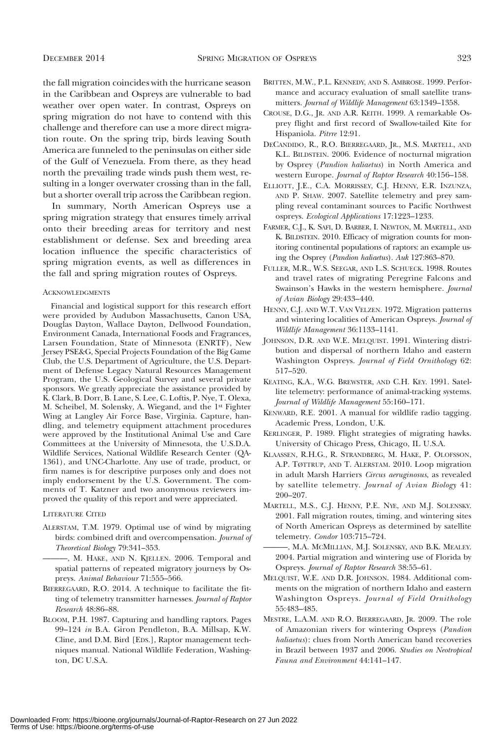the fall migration coincides with the hurricane season in the Caribbean and Ospreys are vulnerable to bad weather over open water. In contrast, Ospreys on spring migration do not have to contend with this challenge and therefore can use a more direct migration route. On the spring trip, birds leaving South America are funneled to the peninsulas on either side of the Gulf of Venezuela. From there, as they head north the prevailing trade winds push them west, resulting in a longer overwater crossing than in the fall, but a shorter overall trip across the Caribbean region.

In summary, North American Ospreys use a spring migration strategy that ensures timely arrival onto their breeding areas for territory and nest establishment or defense. Sex and breeding area location influence the specific characteristics of spring migration events, as well as differences in the fall and spring migration routes of Ospreys.

#### **ACKNOWLEDGMENTS**

Financial and logistical support for this research effort were provided by Audubon Massachusetts, Canon USA, Douglas Dayton, Wallace Dayton, Dellwood Foundation, Environment Canada, International Foods and Fragrances, Larsen Foundation, State of Minnesota (ENRTF), New Jersey PSE&G, Special Projects Foundation of the Big Game Club, the U.S. Department of Agriculture, the U.S. Department of Defense Legacy Natural Resources Management Program, the U.S. Geological Survey and several private sponsors. We greatly appreciate the assistance provided by K. Clark, B. Dorr, B. Lane, S. Lee, C. Loftis, P. Nye, T. Olexa, M. Scheibel, M. Solensky, A. Wiegand, and the 1st Fighter Wing at Langley Air Force Base, Virginia. Capture, handling, and telemetry equipment attachment procedures were approved by the Institutional Animal Use and Care Committees at the University of Minnesota, the U.S.D.A. Wildlife Services, National Wildlife Research Center (QA-1361), and UNC-Charlotte. Any use of trade, product, or firm names is for descriptive purposes only and does not imply endorsement by the U.S. Government. The comments of T. Katzner and two anonymous reviewers improved the quality of this report and were appreciated.

#### LITERATURE CITED

- ALERSTAM, T.M. 1979. Optimal use of wind by migrating birds: combined drift and overcompensation. Journal of Theoretical Biology 79:341–353.
	- ———, M. HAKE, AND N. KJELLEN. 2006. Temporal and spatial patterns of repeated migratory journeys by Ospreys. Animal Behaviour 71:555–566.
- BIERREGAARD, R.O. 2014. A technique to facilitate the fitting of telemetry transmitter harnesses. Journal of Raptor Research 48:86–88.
- BLOOM, P.H. 1987. Capturing and handling raptors. Pages 99–124 in B.A. Giron Pendleton, B.A. Millsap, K.W. Cline, and D.M. Bird [EDS.], Raptor management techniques manual. National Wildlife Federation, Washington, DC U.S.A.
- BRITTEN, M.W., P.L. KENNEDY, AND S. AMBROSE. 1999. Performance and accuracy evaluation of small satellite transmitters. Journal of Wildlife Management 63:1349–1358.
- CROUSE, D.G., JR. AND A.R. KEITH. 1999. A remarkable Osprey flight and first record of Swallow-tailed Kite for Hispaniola. Pitrre 12:91.
- DECANDIDO, R., R.O. BIERREGAARD, JR., M.S. MARTELL, AND K.L. BILDSTEIN. 2006. Evidence of nocturnal migration by Osprey (Pandion haliaetus) in North America and western Europe. Journal of Raptor Research 40:156-158.
- ELLIOTT, J.E., C.A. MORRISSEY, C.J. HENNY, E.R. INZUNZA, AND P. SHAW. 2007. Satellite telemetry and prey sampling reveal contaminant sources to Pacific Northwest ospreys. Ecological Applications 17:1223–1233.
- FARMER, C.J., K. SAFI, D. BARBER, I. NEWTON, M. MARTELL, AND K. BILDSTEIN. 2010. Efficacy of migration counts for monitoring continental populations of raptors: an example using the Osprey (Pandion haliaetus). Auk 127:863–870.
- FULLER, M.R., W.S. SEEGAR, AND L.S. SCHUECK. 1998. Routes and travel rates of migrating Peregrine Falcons and Swainson's Hawks in the western hemisphere. Journal of Avian Biology 29:433–440.
- HENNY, C.J. AND W.T. VAN VELZEN. 1972. Migration patterns and wintering localities of American Ospreys. Journal of Wildlife Management 36:1133–1141.
- JOHNSON, D.R. AND W.E. MELQUIST. 1991. Wintering distribution and dispersal of northern Idaho and eastern Washington Ospreys. Journal of Field Ornithology 62: 517–520.
- KEATING, K.A., W.G. BREWSTER, AND C.H. KEY. 1991. Satellite telemetry: performance of animal-tracking systems. Journal of Wildlife Management 55:160–171.
- KENWARD, R.E. 2001. A manual for wildlife radio tagging. Academic Press, London, U.K.
- KERLINGER, P. 1989. Flight strategies of migrating hawks. University of Chicago Press, Chicago, IL U.S.A.
- KLAASSEN, R.H.G., R. STRANDBERG, M. HAKE, P. OLOFSSON, A.P. TØTTRUP, AND T. ALERSTAM. 2010. Loop migration in adult Marsh Harriers Circus aeruginosus, as revealed by satellite telemetry. Journal of Avian Biology 41: 200–207.
- MARTELL, M.S., C.J. HENNY, P.E. NYE, AND M.J. SOLENSKY. 2001. Fall migration routes, timing, and wintering sites of North American Ospreys as determined by satellite telemetry. Condor 103:715–724.
- ———, M.A. MCMILLIAN, M.J. SOLENSKY, AND B.K. MEALEY. 2004. Partial migration and wintering use of Florida by Ospreys. Journal of Raptor Research 38:55–61.
- MELQUIST, W.E. AND D.R. JOHNSON. 1984. Additional comments on the migration of northern Idaho and eastern Washington Ospreys. Journal of Field Ornithology 55:483–485.
- MESTRE, L.A.M. AND R.O. BIERREGAARD, JR. 2009. The role of Amazonian rivers for wintering Ospreys (Pandion haliaetus): clues from North American band recoveries in Brazil between 1937 and 2006. Studies on Neotropical Fauna and Environment 44:141–147.